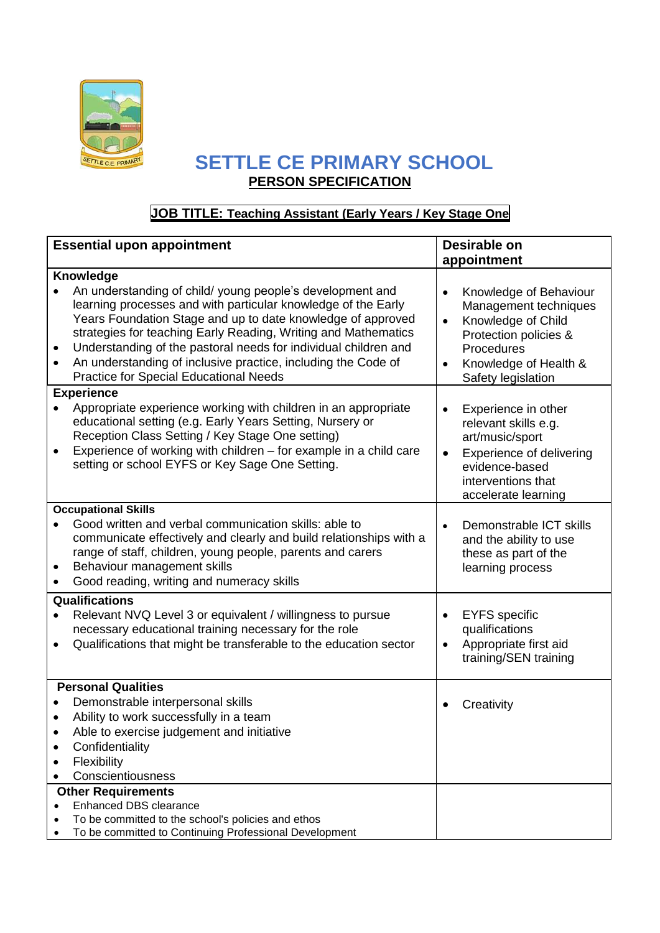

## **SETTLE CE PRIMARY SCHOOL PERSON SPECIFICATION**

## **JOB TITLE: Teaching Assistant (Early Years / Key Stage One**

| <b>Essential upon appointment</b> |                                                                                                                                                                                                                                                                                                                                                                                                                                                  | Desirable on                        |                                                                                                                                                             |  |  |
|-----------------------------------|--------------------------------------------------------------------------------------------------------------------------------------------------------------------------------------------------------------------------------------------------------------------------------------------------------------------------------------------------------------------------------------------------------------------------------------------------|-------------------------------------|-------------------------------------------------------------------------------------------------------------------------------------------------------------|--|--|
|                                   |                                                                                                                                                                                                                                                                                                                                                                                                                                                  | appointment                         |                                                                                                                                                             |  |  |
|                                   | Knowledge                                                                                                                                                                                                                                                                                                                                                                                                                                        |                                     |                                                                                                                                                             |  |  |
| ٠<br>$\bullet$                    | An understanding of child/ young people's development and<br>learning processes and with particular knowledge of the Early<br>Years Foundation Stage and up to date knowledge of approved<br>strategies for teaching Early Reading, Writing and Mathematics<br>Understanding of the pastoral needs for individual children and<br>An understanding of inclusive practice, including the Code of<br><b>Practice for Special Educational Needs</b> | $\bullet$<br>$\bullet$<br>$\bullet$ | Knowledge of Behaviour<br>Management techniques<br>Knowledge of Child<br>Protection policies &<br>Procedures<br>Knowledge of Health &<br>Safety legislation |  |  |
|                                   | <b>Experience</b>                                                                                                                                                                                                                                                                                                                                                                                                                                |                                     |                                                                                                                                                             |  |  |
|                                   | Appropriate experience working with children in an appropriate<br>educational setting (e.g. Early Years Setting, Nursery or<br>Reception Class Setting / Key Stage One setting)<br>Experience of working with children - for example in a child care<br>setting or school EYFS or Key Sage One Setting.                                                                                                                                          | $\bullet$<br>$\bullet$              | Experience in other<br>relevant skills e.g.<br>art/music/sport<br>Experience of delivering<br>evidence-based<br>interventions that<br>accelerate learning   |  |  |
|                                   | <b>Occupational Skills</b>                                                                                                                                                                                                                                                                                                                                                                                                                       |                                     |                                                                                                                                                             |  |  |
| ٠<br>$\bullet$                    | Good written and verbal communication skills: able to<br>communicate effectively and clearly and build relationships with a<br>range of staff, children, young people, parents and carers<br>Behaviour management skills<br>Good reading, writing and numeracy skills                                                                                                                                                                            | $\bullet$                           | Demonstrable ICT skills<br>and the ability to use<br>these as part of the<br>learning process                                                               |  |  |
|                                   | Qualifications                                                                                                                                                                                                                                                                                                                                                                                                                                   |                                     |                                                                                                                                                             |  |  |
| $\bullet$                         | Relevant NVQ Level 3 or equivalent / willingness to pursue<br>necessary educational training necessary for the role<br>Qualifications that might be transferable to the education sector                                                                                                                                                                                                                                                         | $\bullet$<br>$\bullet$              | <b>EYFS</b> specific<br>qualifications<br>Appropriate first aid<br>training/SEN training                                                                    |  |  |
| <b>Personal Qualities</b>         |                                                                                                                                                                                                                                                                                                                                                                                                                                                  |                                     |                                                                                                                                                             |  |  |
| $\bullet$                         | Demonstrable interpersonal skills<br>Ability to work successfully in a team<br>Able to exercise judgement and initiative<br>Confidentiality<br>Flexibility<br>Conscientiousness                                                                                                                                                                                                                                                                  | $\bullet$                           | Creativity                                                                                                                                                  |  |  |
|                                   | <b>Other Requirements</b>                                                                                                                                                                                                                                                                                                                                                                                                                        |                                     |                                                                                                                                                             |  |  |
|                                   | Enhanced DBS clearance<br>To be committed to the school's policies and ethos<br>To be committed to Continuing Professional Development                                                                                                                                                                                                                                                                                                           |                                     |                                                                                                                                                             |  |  |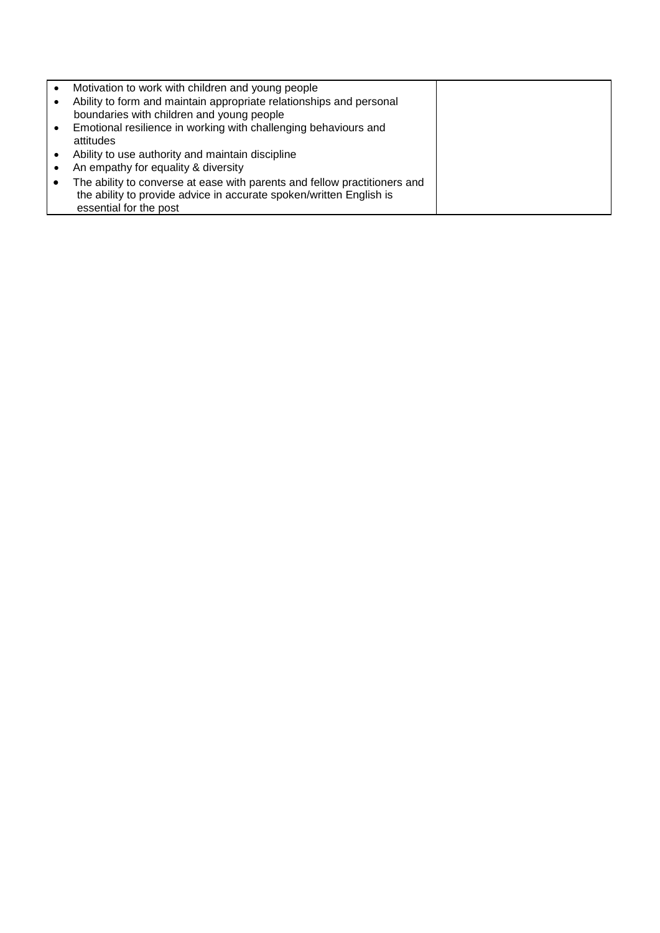| Motivation to work with children and young people                         |  |
|---------------------------------------------------------------------------|--|
| Ability to form and maintain appropriate relationships and personal       |  |
| boundaries with children and young people                                 |  |
| Emotional resilience in working with challenging behaviours and           |  |
| attitudes                                                                 |  |
| Ability to use authority and maintain discipline                          |  |
| An empathy for equality & diversity                                       |  |
| The ability to converse at ease with parents and fellow practitioners and |  |
| the ability to provide advice in accurate spoken/written English is       |  |
| essential for the post                                                    |  |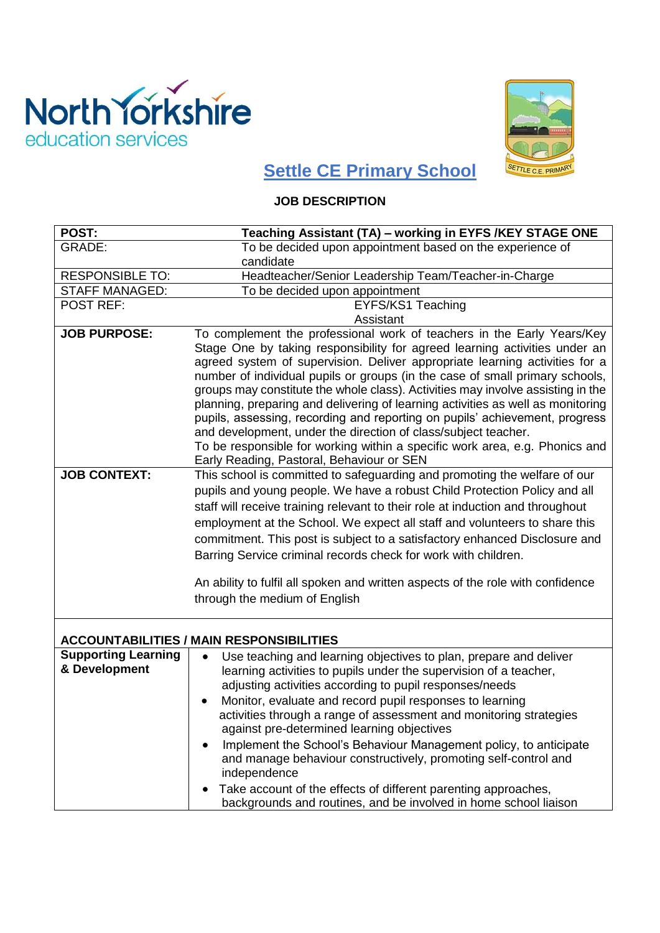



## **Settle CE Primary School**

## **JOB DESCRIPTION**

| <b>POST:</b>                                | Teaching Assistant (TA) - working in EYFS /KEY STAGE ONE                                                                                                                                                                                                                                                                                                                                                                                                                                                                                                                                                                                                                                                                                                               |
|---------------------------------------------|------------------------------------------------------------------------------------------------------------------------------------------------------------------------------------------------------------------------------------------------------------------------------------------------------------------------------------------------------------------------------------------------------------------------------------------------------------------------------------------------------------------------------------------------------------------------------------------------------------------------------------------------------------------------------------------------------------------------------------------------------------------------|
| <b>GRADE:</b>                               | To be decided upon appointment based on the experience of                                                                                                                                                                                                                                                                                                                                                                                                                                                                                                                                                                                                                                                                                                              |
|                                             | candidate                                                                                                                                                                                                                                                                                                                                                                                                                                                                                                                                                                                                                                                                                                                                                              |
| <b>RESPONSIBLE TO:</b>                      | Headteacher/Senior Leadership Team/Teacher-in-Charge                                                                                                                                                                                                                                                                                                                                                                                                                                                                                                                                                                                                                                                                                                                   |
| <b>STAFF MANAGED:</b>                       | To be decided upon appointment                                                                                                                                                                                                                                                                                                                                                                                                                                                                                                                                                                                                                                                                                                                                         |
| <b>POST REF:</b>                            | EYFS/KS1 Teaching                                                                                                                                                                                                                                                                                                                                                                                                                                                                                                                                                                                                                                                                                                                                                      |
|                                             | Assistant                                                                                                                                                                                                                                                                                                                                                                                                                                                                                                                                                                                                                                                                                                                                                              |
| <b>JOB PURPOSE:</b>                         | To complement the professional work of teachers in the Early Years/Key<br>Stage One by taking responsibility for agreed learning activities under an<br>agreed system of supervision. Deliver appropriate learning activities for a<br>number of individual pupils or groups (in the case of small primary schools,<br>groups may constitute the whole class). Activities may involve assisting in the<br>planning, preparing and delivering of learning activities as well as monitoring<br>pupils, assessing, recording and reporting on pupils' achievement, progress<br>and development, under the direction of class/subject teacher.<br>To be responsible for working within a specific work area, e.g. Phonics and<br>Early Reading, Pastoral, Behaviour or SEN |
| <b>JOB CONTEXT:</b>                         | This school is committed to safeguarding and promoting the welfare of our<br>pupils and young people. We have a robust Child Protection Policy and all<br>staff will receive training relevant to their role at induction and throughout<br>employment at the School. We expect all staff and volunteers to share this<br>commitment. This post is subject to a satisfactory enhanced Disclosure and<br>Barring Service criminal records check for work with children.<br>An ability to fulfil all spoken and written aspects of the role with confidence<br>through the medium of English                                                                                                                                                                             |
|                                             | <b>ACCOUNTABILITIES / MAIN RESPONSIBILITIES</b>                                                                                                                                                                                                                                                                                                                                                                                                                                                                                                                                                                                                                                                                                                                        |
| <b>Supporting Learning</b><br>& Development | Use teaching and learning objectives to plan, prepare and deliver<br>$\bullet$<br>learning activities to pupils under the supervision of a teacher,<br>adjusting activities according to pupil responses/needs<br>Monitor, evaluate and record pupil responses to learning<br>activities through a range of assessment and monitoring strategies<br>against pre-determined learning objectives<br>Implement the School's Behaviour Management policy, to anticipate<br>and manage behaviour constructively, promoting self-control and<br>independence<br>Take account of the effects of different parenting approaches,<br>backgrounds and routines, and be involved in home school liaison                                                                           |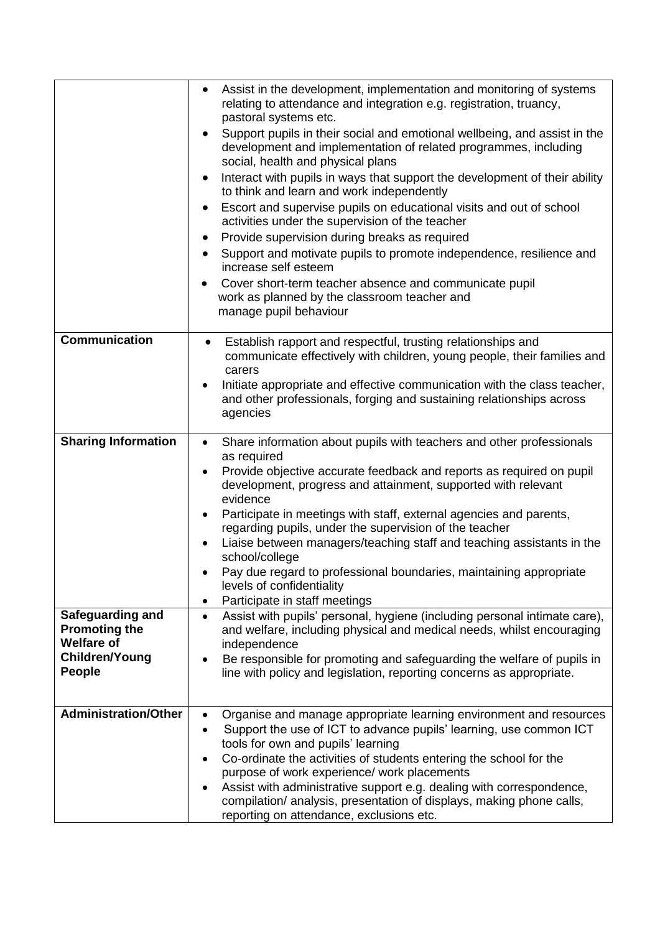|                                                                                                         | Assist in the development, implementation and monitoring of systems<br>$\bullet$<br>relating to attendance and integration e.g. registration, truancy,<br>pastoral systems etc.<br>Support pupils in their social and emotional wellbeing, and assist in the<br>development and implementation of related programmes, including<br>social, health and physical plans<br>Interact with pupils in ways that support the development of their ability<br>to think and learn and work independently<br>Escort and supervise pupils on educational visits and out of school<br>٠<br>activities under the supervision of the teacher<br>Provide supervision during breaks as required<br>٠<br>Support and motivate pupils to promote independence, resilience and<br>increase self esteem<br>Cover short-term teacher absence and communicate pupil<br>work as planned by the classroom teacher and |
|---------------------------------------------------------------------------------------------------------|-----------------------------------------------------------------------------------------------------------------------------------------------------------------------------------------------------------------------------------------------------------------------------------------------------------------------------------------------------------------------------------------------------------------------------------------------------------------------------------------------------------------------------------------------------------------------------------------------------------------------------------------------------------------------------------------------------------------------------------------------------------------------------------------------------------------------------------------------------------------------------------------------|
|                                                                                                         | manage pupil behaviour                                                                                                                                                                                                                                                                                                                                                                                                                                                                                                                                                                                                                                                                                                                                                                                                                                                                        |
| <b>Communication</b>                                                                                    | Establish rapport and respectful, trusting relationships and<br>$\bullet$<br>communicate effectively with children, young people, their families and<br>carers<br>Initiate appropriate and effective communication with the class teacher,<br>and other professionals, forging and sustaining relationships across<br>agencies                                                                                                                                                                                                                                                                                                                                                                                                                                                                                                                                                                |
| <b>Sharing Information</b>                                                                              | Share information about pupils with teachers and other professionals<br>$\bullet$<br>as required<br>Provide objective accurate feedback and reports as required on pupil<br>development, progress and attainment, supported with relevant<br>evidence<br>Participate in meetings with staff, external agencies and parents,<br>$\bullet$<br>regarding pupils, under the supervision of the teacher<br>Liaise between managers/teaching staff and teaching assistants in the<br>school/college<br>Pay due regard to professional boundaries, maintaining appropriate<br>levels of confidentiality<br>Participate in staff meetings<br>$\bullet$                                                                                                                                                                                                                                                |
| Safeguarding and<br><b>Promoting the</b><br><b>Welfare of</b><br><b>Children/Young</b><br><b>People</b> | Assist with pupils' personal, hygiene (including personal intimate care),<br>$\bullet$<br>and welfare, including physical and medical needs, whilst encouraging<br>independence<br>Be responsible for promoting and safeguarding the welfare of pupils in<br>line with policy and legislation, reporting concerns as appropriate.                                                                                                                                                                                                                                                                                                                                                                                                                                                                                                                                                             |
| <b>Administration/Other</b>                                                                             | Organise and manage appropriate learning environment and resources<br>$\bullet$<br>Support the use of ICT to advance pupils' learning, use common ICT<br>tools for own and pupils' learning<br>Co-ordinate the activities of students entering the school for the<br>purpose of work experience/ work placements<br>Assist with administrative support e.g. dealing with correspondence,<br>٠<br>compilation/ analysis, presentation of displays, making phone calls,<br>reporting on attendance, exclusions etc.                                                                                                                                                                                                                                                                                                                                                                             |